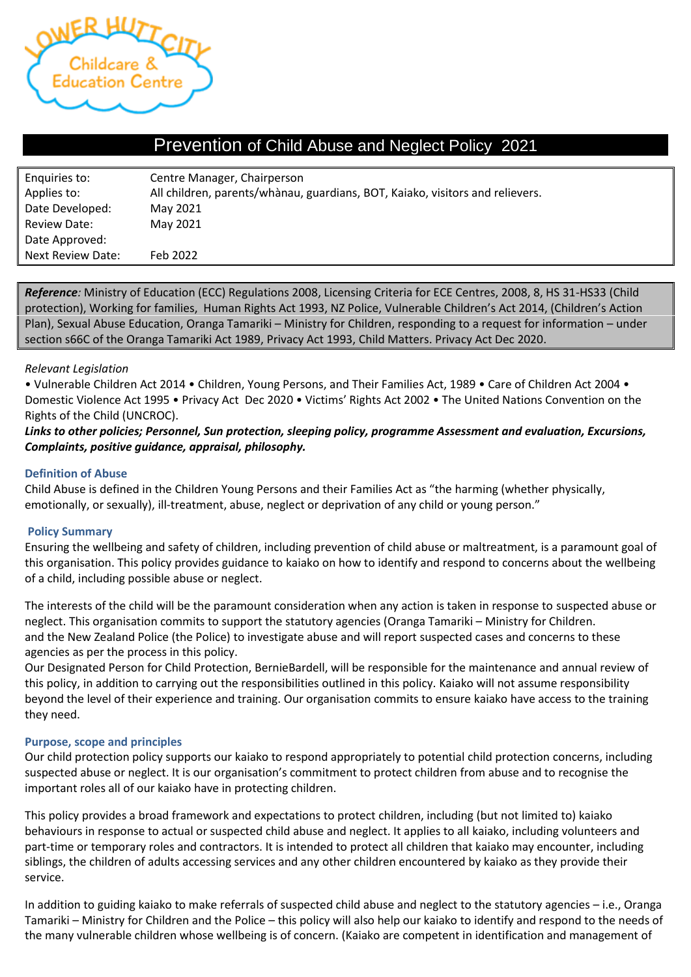

## Prevention of Child Abuse and Neglect Policy 2021

| Enquiries to:       | Centre Manager, Chairperson                                                   |
|---------------------|-------------------------------------------------------------------------------|
| Applies to:         | All children, parents/whànau, guardians, BOT, Kaiako, visitors and relievers. |
| Date Developed:     | May 2021                                                                      |
| <b>Review Date:</b> | May 2021                                                                      |
| Date Approved:      |                                                                               |
| Next Review Date:   | Feb 2022                                                                      |

*Reference:* Ministry of Education (ECC) Regulations 2008, Licensing Criteria for ECE Centres, 2008, 8, HS 31-HS33 (Child protection), Working for families, Human Rights Act 1993, NZ Police, Vulnerable Children's Act 2014, (Children's Action Plan), Sexual Abuse Education, Oranga Tamariki – Ministry for Children, responding to a request for information – under section s66C of the Oranga Tamariki Act 1989, Privacy Act 1993, Child Matters. Privacy Act Dec 2020.

#### *Relevant Legislation*

• Vulnerable Children Act 2014 • Children, Young Persons, and Their Families Act, 1989 • Care of Children Act 2004 • Domestic Violence Act 1995 • Privacy Act Dec 2020 • Victims' Rights Act 2002 • The United Nations Convention on the Rights of the Child (UNCROC).

*Links to other policies; Personnel, Sun protection, sleeping policy, programme Assessment and evaluation, Excursions, Complaints, positive guidance, appraisal, philosophy.* 

#### **Definition of Abuse**

Child Abuse is defined in the Children Young Persons and their Families Act as "the harming (whether physically, emotionally, or sexually), ill-treatment, abuse, neglect or deprivation of any child or young person."

#### **Policy Summary**

Ensuring the wellbeing and safety of children, including prevention of child abuse or maltreatment, is a paramount goal of this organisation. This policy provides guidance to kaiako on how to identify and respond to concerns about the wellbeing of a child, including possible abuse or neglect.

The interests of the child will be the paramount consideration when any action is taken in response to suspected abuse or neglect. This organisation commits to support the statutory agencies (Oranga Tamariki – Ministry for Children. and the New Zealand Police (the Police) to investigate abuse and will report suspected cases and concerns to these agencies as per the process in this policy.

Our Designated Person for Child Protection, BernieBardell, will be responsible for the maintenance and annual review of this policy, in addition to carrying out the responsibilities outlined in this policy. Kaiako will not assume responsibility beyond the level of their experience and training. Our organisation commits to ensure kaiako have access to the training they need.

#### **Purpose, scope and principles**

Our child protection policy supports our kaiako to respond appropriately to potential child protection concerns, including suspected abuse or neglect. It is our organisation's commitment to protect children from abuse and to recognise the important roles all of our kaiako have in protecting children.

This policy provides a broad framework and expectations to protect children, including (but not limited to) kaiako behaviours in response to actual or suspected child abuse and neglect. It applies to all kaiako, including volunteers and part-time or temporary roles and contractors. It is intended to protect all children that kaiako may encounter, including siblings, the children of adults accessing services and any other children encountered by kaiako as they provide their service.

In addition to guiding kaiako to make referrals of suspected child abuse and neglect to the statutory agencies – i.e., Oranga Tamariki – Ministry for Children and the Police – this policy will also help our kaiako to identify and respond to the needs of the many vulnerable children whose wellbeing is of concern. (Kaiako are competent in identification and management of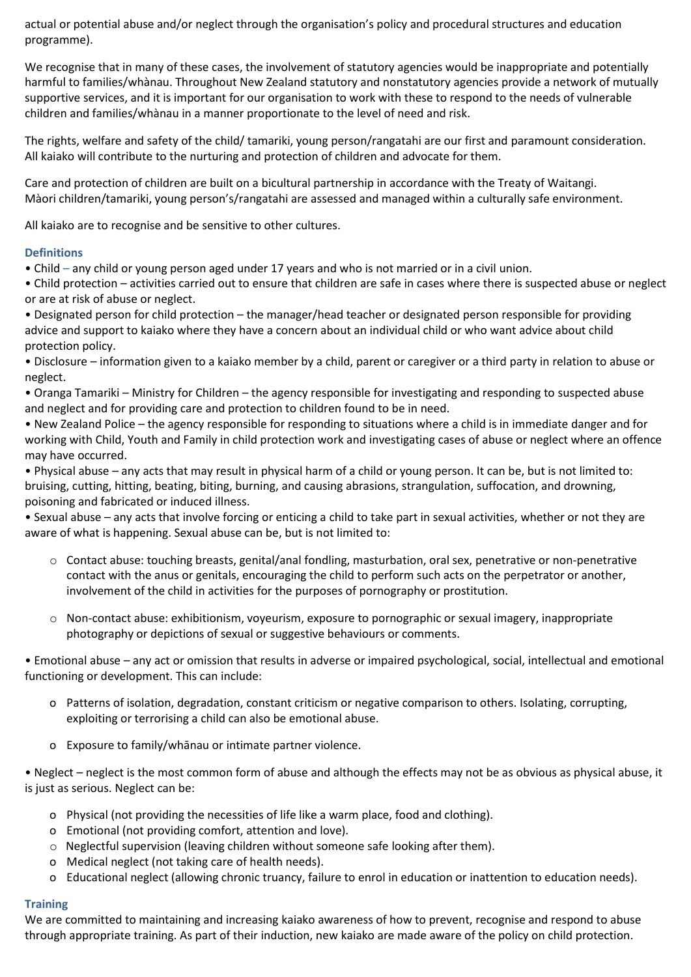actual or potential abuse and/or neglect through the organisation's policy and procedural structures and education programme).

We recognise that in many of these cases, the involvement of statutory agencies would be inappropriate and potentially harmful to families/whànau. Throughout New Zealand statutory and nonstatutory agencies provide a network of mutually supportive services, and it is important for our organisation to work with these to respond to the needs of vulnerable children and families/whànau in a manner proportionate to the level of need and risk.

The rights, welfare and safety of the child/ tamariki, young person/rangatahi are our first and paramount consideration. All kaiako will contribute to the nurturing and protection of children and advocate for them.

Care and protection of children are built on a bicultural partnership in accordance with the Treaty of Waitangi. Màori children/tamariki, young person's/rangatahi are assessed and managed within a culturally safe environment.

All kaiako are to recognise and be sensitive to other cultures.

### **Definitions**

• Child – any child or young person aged under 17 years and who is not married or in a civil union.

• Child protection – activities carried out to ensure that children are safe in cases where there is suspected abuse or neglect or are at risk of abuse or neglect.

• Designated person for child protection – the manager/head teacher or designated person responsible for providing advice and support to kaiako where they have a concern about an individual child or who want advice about child protection policy.

• Disclosure – information given to a kaiako member by a child, parent or caregiver or a third party in relation to abuse or neglect.

• Oranga Tamariki – Ministry for Children – the agency responsible for investigating and responding to suspected abuse and neglect and for providing care and protection to children found to be in need.

• New Zealand Police – the agency responsible for responding to situations where a child is in immediate danger and for working with Child, Youth and Family in child protection work and investigating cases of abuse or neglect where an offence may have occurred.

• Physical abuse – any acts that may result in physical harm of a child or young person. It can be, but is not limited to: bruising, cutting, hitting, beating, biting, burning, and causing abrasions, strangulation, suffocation, and drowning, poisoning and fabricated or induced illness.

• Sexual abuse – any acts that involve forcing or enticing a child to take part in sexual activities, whether or not they are aware of what is happening. Sexual abuse can be, but is not limited to:

- o Contact abuse: touching breasts, genital/anal fondling, masturbation, oral sex, penetrative or non-penetrative contact with the anus or genitals, encouraging the child to perform such acts on the perpetrator or another, involvement of the child in activities for the purposes of pornography or prostitution.
- $\circ$  Non-contact abuse: exhibitionism, voveurism, exposure to pornographic or sexual imagery, inappropriate photography or depictions of sexual or suggestive behaviours or comments.

• Emotional abuse – any act or omission that results in adverse or impaired psychological, social, intellectual and emotional functioning or development. This can include:

- o Patterns of isolation, degradation, constant criticism or negative comparison to others. Isolating, corrupting, exploiting or terrorising a child can also be emotional abuse.
- o Exposure to family/whānau or intimate partner violence.

• Neglect – neglect is the most common form of abuse and although the effects may not be as obvious as physical abuse, it is just as serious. Neglect can be:

- o Physical (not providing the necessities of life like a warm place, food and clothing).
- o Emotional (not providing comfort, attention and love).
- $\circ$  Neglectful supervision (leaving children without someone safe looking after them).
- o Medical neglect (not taking care of health needs).
- o Educational neglect (allowing chronic truancy, failure to enrol in education or inattention to education needs).

#### **Training**

We are committed to maintaining and increasing kaiako awareness of how to prevent, recognise and respond to abuse through appropriate training. As part of their induction, new kaiako are made aware of the policy on child protection.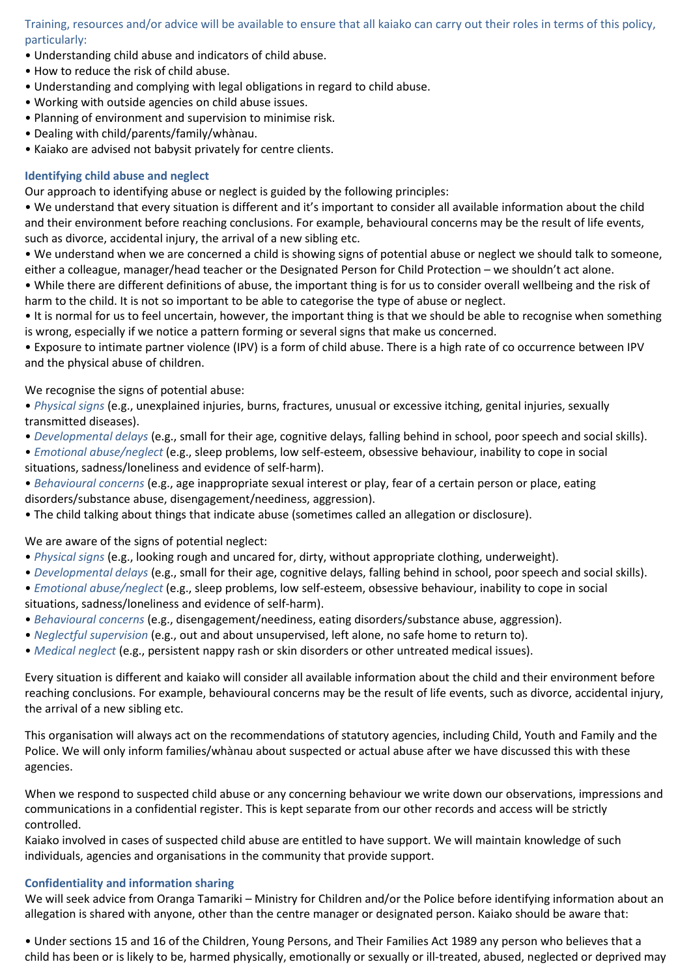Training, resources and/or advice will be available to ensure that all kaiako can carry out their roles in terms of this policy, particularly:

- Understanding child abuse and indicators of child abuse.
- How to reduce the risk of child abuse.
- Understanding and complying with legal obligations in regard to child abuse.
- Working with outside agencies on child abuse issues.
- Planning of environment and supervision to minimise risk.
- Dealing with child/parents/family/whànau.
- Kaiako are advised not babysit privately for centre clients.

#### **Identifying child abuse and neglect**

Our approach to identifying abuse or neglect is guided by the following principles:

• We understand that every situation is different and it's important to consider all available information about the child and their environment before reaching conclusions. For example, behavioural concerns may be the result of life events, such as divorce, accidental injury, the arrival of a new sibling etc.

• We understand when we are concerned a child is showing signs of potential abuse or neglect we should talk to someone, either a colleague, manager/head teacher or the Designated Person for Child Protection – we shouldn't act alone.

• While there are different definitions of abuse, the important thing is for us to consider overall wellbeing and the risk of harm to the child. It is not so important to be able to categorise the type of abuse or neglect.

• It is normal for us to feel uncertain, however, the important thing is that we should be able to recognise when something is wrong, especially if we notice a pattern forming or several signs that make us concerned.

• Exposure to intimate partner violence (IPV) is a form of child abuse. There is a high rate of co occurrence between IPV and the physical abuse of children.

#### We recognise the signs of potential abuse:

• *Physical signs* (e.g., unexplained injuries, burns, fractures, unusual or excessive itching, genital injuries, sexually transmitted diseases).

- *Developmental delays* (e.g., small for their age, cognitive delays, falling behind in school, poor speech and social skills).
- *Emotional abuse/neglect* (e.g., sleep problems, low self-esteem, obsessive behaviour, inability to cope in social situations, sadness/loneliness and evidence of self-harm).

• *Behavioural concerns* (e.g., age inappropriate sexual interest or play, fear of a certain person or place, eating disorders/substance abuse, disengagement/neediness, aggression).

• The child talking about things that indicate abuse (sometimes called an allegation or disclosure).

### We are aware of the signs of potential neglect:

- *Physical signs* (e.g., looking rough and uncared for, dirty, without appropriate clothing, underweight).
- *Developmental delays* (e.g., small for their age, cognitive delays, falling behind in school, poor speech and social skills).
- *Emotional abuse/neglect* (e.g., sleep problems, low self-esteem, obsessive behaviour, inability to cope in social situations, sadness/loneliness and evidence of self-harm).
- *Behavioural concerns* (e.g., disengagement/neediness, eating disorders/substance abuse, aggression).
- *Neglectful supervision* (e.g., out and about unsupervised, left alone, no safe home to return to).
- *Medical neglect* (e.g., persistent nappy rash or skin disorders or other untreated medical issues).

Every situation is different and kaiako will consider all available information about the child and their environment before reaching conclusions. For example, behavioural concerns may be the result of life events, such as divorce, accidental injury, the arrival of a new sibling etc.

This organisation will always act on the recommendations of statutory agencies, including Child, Youth and Family and the Police. We will only inform families/whànau about suspected or actual abuse after we have discussed this with these agencies.

When we respond to suspected child abuse or any concerning behaviour we write down our observations, impressions and communications in a confidential register. This is kept separate from our other records and access will be strictly controlled.

Kaiako involved in cases of suspected child abuse are entitled to have support. We will maintain knowledge of such individuals, agencies and organisations in the community that provide support.

#### **Confidentiality and information sharing**

We will seek advice from Oranga Tamariki – Ministry for Children and/or the Police before identifying information about an allegation is shared with anyone, other than the centre manager or designated person. Kaiako should be aware that:

• Under sections 15 and 16 of the Children, Young Persons, and Their Families Act 1989 any person who believes that a child has been or is likely to be, harmed physically, emotionally or sexually or ill-treated, abused, neglected or deprived may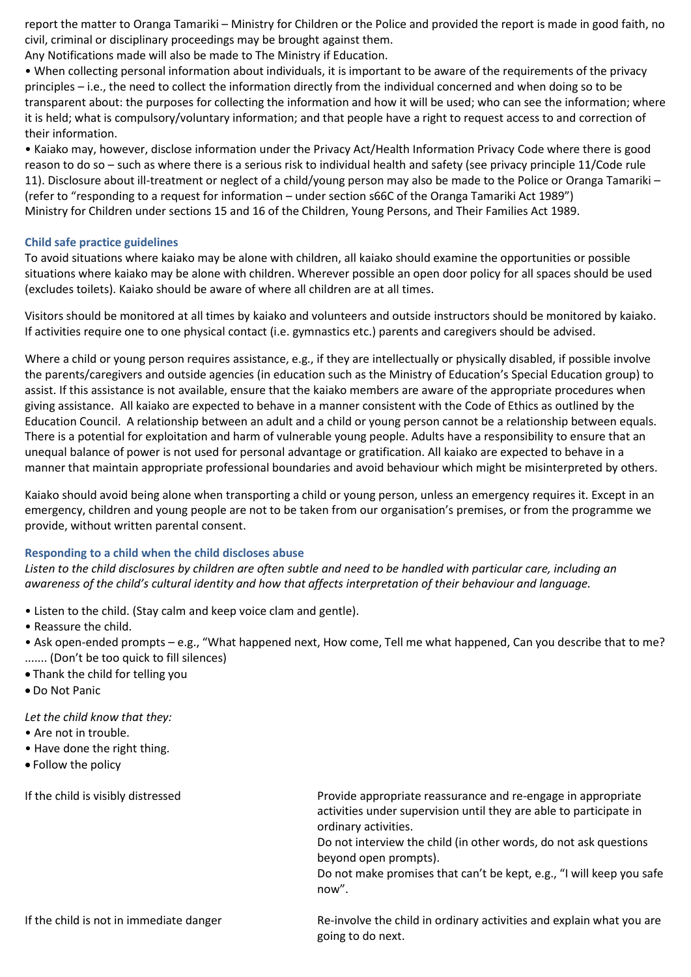report the matter to Oranga Tamariki – Ministry for Children or the Police and provided the report is made in good faith, no civil, criminal or disciplinary proceedings may be brought against them.

Any Notifications made will also be made to The Ministry if Education.

• When collecting personal information about individuals, it is important to be aware of the requirements of the privacy principles – i.e., the need to collect the information directly from the individual concerned and when doing so to be transparent about: the purposes for collecting the information and how it will be used; who can see the information; where it is held; what is compulsory/voluntary information; and that people have a right to request access to and correction of their information.

• Kaiako may, however, disclose information under the Privacy Act/Health Information Privacy Code where there is good reason to do so – such as where there is a serious risk to individual health and safety (see privacy principle 11/Code rule 11). Disclosure about ill-treatment or neglect of a child/young person may also be made to the Police or Oranga Tamariki – (refer to "responding to a request for information – under section s66C of the Oranga Tamariki Act 1989") Ministry for Children under sections 15 and 16 of the Children, Young Persons, and Their Families Act 1989.

#### **Child safe practice guidelines**

To avoid situations where kaiako may be alone with children, all kaiako should examine the opportunities or possible situations where kaiako may be alone with children. Wherever possible an open door policy for all spaces should be used (excludes toilets). Kaiako should be aware of where all children are at all times.

Visitors should be monitored at all times by kaiako and volunteers and outside instructors should be monitored by kaiako. If activities require one to one physical contact (i.e. gymnastics etc.) parents and caregivers should be advised.

Where a child or young person requires assistance, e.g., if they are intellectually or physically disabled, if possible involve the parents/caregivers and outside agencies (in education such as the Ministry of Education's Special Education group) to assist. If this assistance is not available, ensure that the kaiako members are aware of the appropriate procedures when giving assistance. All kaiako are expected to behave in a manner consistent with the Code of Ethics as outlined by the Education Council. A relationship between an adult and a child or young person cannot be a relationship between equals. There is a potential for exploitation and harm of vulnerable young people. Adults have a responsibility to ensure that an unequal balance of power is not used for personal advantage or gratification. All kaiako are expected to behave in a manner that maintain appropriate professional boundaries and avoid behaviour which might be misinterpreted by others.

Kaiako should avoid being alone when transporting a child or young person, unless an emergency requires it. Except in an emergency, children and young people are not to be taken from our organisation's premises, or from the programme we provide, without written parental consent.

#### **Responding to a child when the child discloses abuse**

*Listen to the child disclosures by children are often subtle and need to be handled with particular care, including an awareness of the child's cultural identity and how that affects interpretation of their behaviour and language.*

- Listen to the child. (Stay calm and keep voice clam and gentle).
- Reassure the child.

• Ask open-ended prompts – e.g., "What happened next, How come, Tell me what happened, Can you describe that to me? ....... (Don't be too quick to fill silences)

- Thank the child for telling you
- Do Not Panic

*Let the child know that they:*

- Are not in trouble.
- Have done the right thing.
- Follow the policy

If the child is visibly distressed **Provide appropriate reassurance and re-engage in appropriate** activities under supervision until they are able to participate in ordinary activities.

> Do not interview the child (in other words, do not ask questions beyond open prompts).

Do not make promises that can't be kept, e.g., "I will keep you safe now".

If the child is not in immediate danger Re-involve the child in ordinary activities and explain what you are going to do next.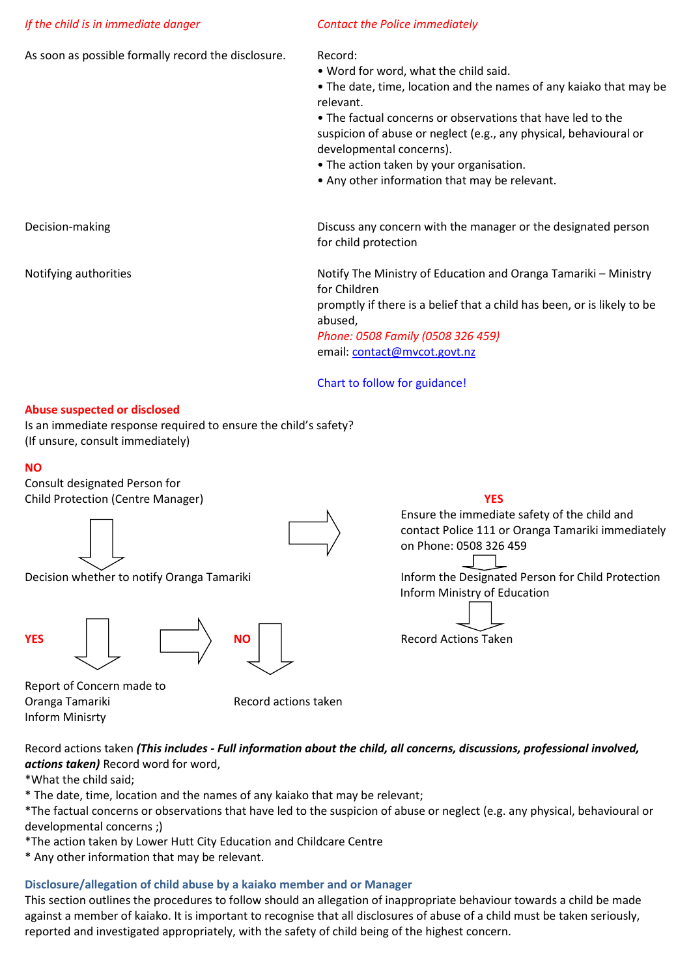#### *If the child is in immediate danger Contact the Police immediately*

As soon as possible formally record the disclosure. Record:

- Word for word, what the child said.
- The date, time, location and the names of any kaiako that may be relevant.

• The factual concerns or observations that have led to the suspicion of abuse or neglect (e.g., any physical, behavioural or developmental concerns).

- The action taken by your organisation.
- Any other information that may be relevant.

Decision-making Discuss any concern with the manager or the designated person for child protection

Notifying authorities Notify The Ministry of Education and Oranga Tamariki – Ministry for Children

promptly if there is a belief that a child has been, or is likely to be abused,

*Phone: 0508 Family (0508 326 459)* email: [contact@mvcot.govt.nz](mailto:contact@mvcot.govt.nz) 

Chart to follow for guidance!

#### **Abuse suspected or disclosed**

Is an immediate response required to ensure the child's safety? (If unsure, consult immediately)

#### **NO**

Consult designated Person for Child Protection (Centre Manager) **YES**









Report of Concern made to Oranga Tamariki Record actions taken Inform Minisrty

Record actions taken *(This includes - Full information about the child, all concerns, discussions, professional involved, actions taken)* Record word for word,

\*What the child said;

\* The date, time, location and the names of any kaiako that may be relevant;

\*The factual concerns or observations that have led to the suspicion of abuse or neglect (e.g. any physical, behavioural or developmental concerns ;)

\*The action taken by Lower Hutt City Education and Childcare Centre

\* Any other information that may be relevant.

#### **Disclosure/allegation of child abuse by a kaiako member and or Manager**

This section outlines the procedures to follow should an allegation of inappropriate behaviour towards a child be made against a member of kaiako. It is important to recognise that all disclosures of abuse of a child must be taken seriously, reported and investigated appropriately, with the safety of child being of the highest concern.

Ensure the immediate safety of the child and contact Police 111 or Oranga Tamariki immediately on Phone: 0508 326 459

Decision whether to notify Oranga Tamariki **Inform the Designated Person for Child Protection** Inform Ministry of Education

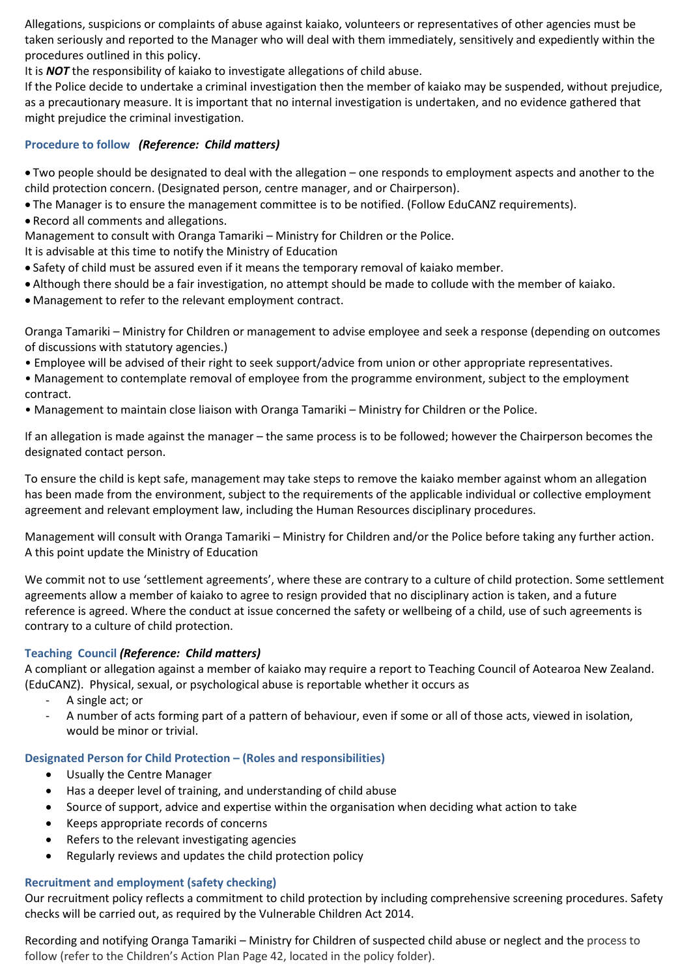Allegations, suspicions or complaints of abuse against kaiako, volunteers or representatives of other agencies must be taken seriously and reported to the Manager who will deal with them immediately, sensitively and expediently within the procedures outlined in this policy.

It is *NOT* the responsibility of kaiako to investigate allegations of child abuse.

If the Police decide to undertake a criminal investigation then the member of kaiako may be suspended, without prejudice, as a precautionary measure. It is important that no internal investigation is undertaken, and no evidence gathered that might prejudice the criminal investigation.

#### **Procedure to follow** *(Reference: Child matters)*

• Two people should be designated to deal with the allegation – one responds to employment aspects and another to the child protection concern. (Designated person, centre manager, and or Chairperson).

- The Manager is to ensure the management committee is to be notified. (Follow EduCANZ requirements).
- Record all comments and allegations.

Management to consult with Oranga Tamariki – Ministry for Children or the Police.

It is advisable at this time to notify the Ministry of Education

- Safety of child must be assured even if it means the temporary removal of kaiako member.
- Although there should be a fair investigation, no attempt should be made to collude with the member of kaiako.
- Management to refer to the relevant employment contract.

Oranga Tamariki – Ministry for Children or management to advise employee and seek a response (depending on outcomes of discussions with statutory agencies.)

- Employee will be advised of their right to seek support/advice from union or other appropriate representatives.
- Management to contemplate removal of employee from the programme environment, subject to the employment contract.
- Management to maintain close liaison with Oranga Tamariki Ministry for Children or the Police.

If an allegation is made against the manager – the same process is to be followed; however the Chairperson becomes the designated contact person.

To ensure the child is kept safe, management may take steps to remove the kaiako member against whom an allegation has been made from the environment, subject to the requirements of the applicable individual or collective employment agreement and relevant employment law, including the Human Resources disciplinary procedures.

Management will consult with Oranga Tamariki – Ministry for Children and/or the Police before taking any further action. A this point update the Ministry of Education

We commit not to use 'settlement agreements', where these are contrary to a culture of child protection. Some settlement agreements allow a member of kaiako to agree to resign provided that no disciplinary action is taken, and a future reference is agreed. Where the conduct at issue concerned the safety or wellbeing of a child, use of such agreements is contrary to a culture of child protection.

#### **Teaching Council** *(Reference: Child matters)*

A compliant or allegation against a member of kaiako may require a report to Teaching Council of Aotearoa New Zealand. (EduCANZ). Physical, sexual, or psychological abuse is reportable whether it occurs as

- A single act; or
- A number of acts forming part of a pattern of behaviour, even if some or all of those acts, viewed in isolation, would be minor or trivial.

#### **Designated Person for Child Protection – (Roles and responsibilities)**

- Usually the Centre Manager
- Has a deeper level of training, and understanding of child abuse
- Source of support, advice and expertise within the organisation when deciding what action to take
- Keeps appropriate records of concerns
- Refers to the relevant investigating agencies
- Regularly reviews and updates the child protection policy

#### **Recruitment and employment (safety checking)**

Our recruitment policy reflects a commitment to child protection by including comprehensive screening procedures. Safety checks will be carried out, as required by the Vulnerable Children Act 2014.

Recording and notifying Oranga Tamariki – Ministry for Children of suspected child abuse or neglect and the process to follow (refer to the Children's Action Plan Page 42, located in the policy folder).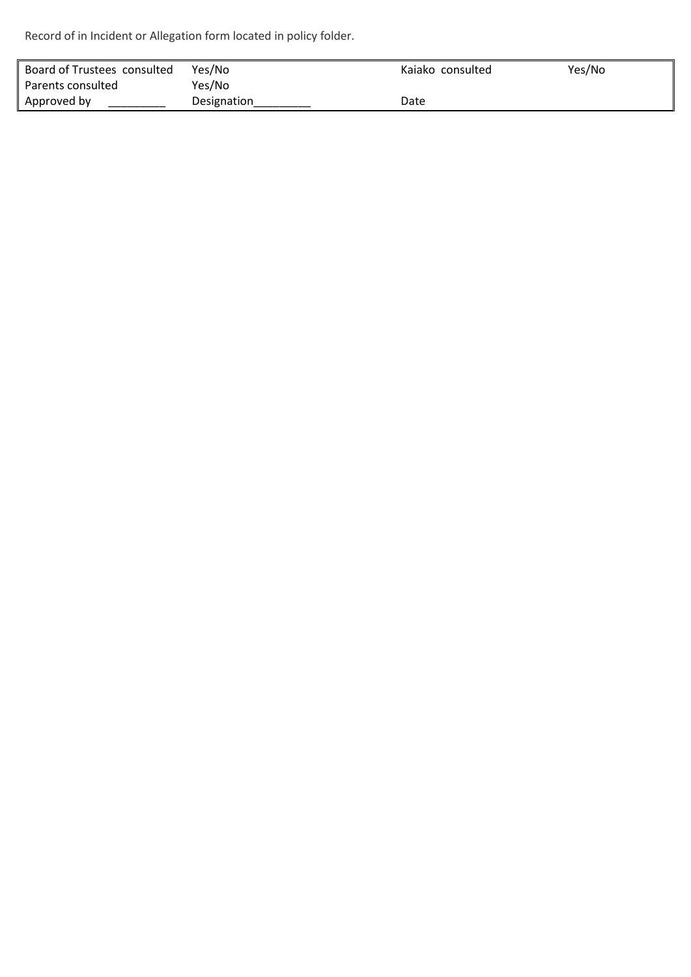Record of in Incident or Allegation form located in policy folder.

| Board of Trustees consulted | Yes/No      | Kajako consulted | Yes/No |
|-----------------------------|-------------|------------------|--------|
| Parents consulted           | Yes/No      |                  |        |
| Approved by                 | Designation | Date             |        |